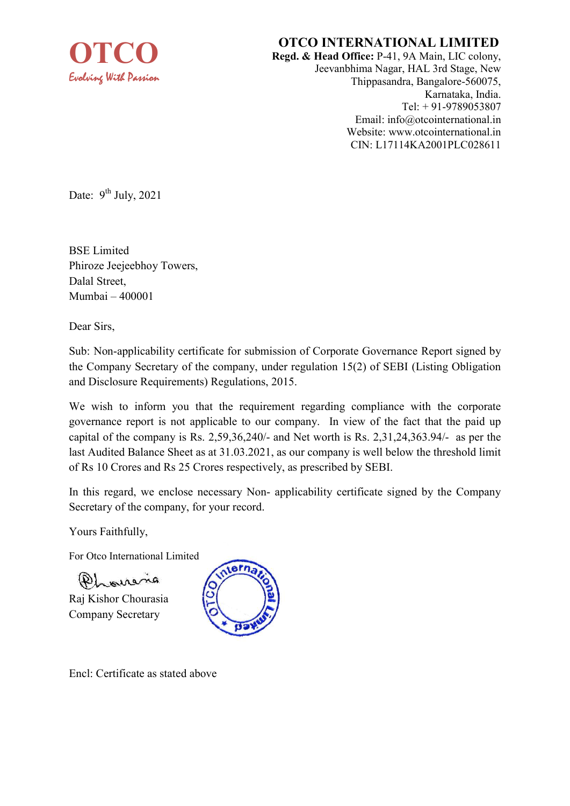

## OTCO INTERNATIONAL LIMITED

Regd. & Head Office: P-41, 9A Main, LIC colony, Jeevanbhima Nagar, HAL 3rd Stage, New Thippasandra, Bangalore-560075, Karnataka, India. Tel: + 91-9789053807 Email: info@otcointernational.in Website: www.otcointernational.in CIN: L17114KA2001PLC028611

Date:  $9^{th}$  July, 2021

BSE Limited Phiroze Jeejeebhoy Towers, Dalal Street, Mumbai – 400001

Dear Sirs,

Sub: Non-applicability certificate for submission of Corporate Governance Report signed by the Company Secretary of the company, under regulation 15(2) of SEBI (Listing Obligation and Disclosure Requirements) Regulations, 2015.

We wish to inform you that the requirement regarding compliance with the corporate governance report is not applicable to our company. In view of the fact that the paid up capital of the company is Rs. 2,59,36,240/- and Net worth is Rs. 2,31,24,363.94/- as per the last Audited Balance Sheet as at 31.03.2021, as our company is well below the threshold limit of Rs 10 Crores and Rs 25 Crores respectively, as prescribed by SEBI.

In this regard, we enclose necessary Non- applicability certificate signed by the Company Secretary of the company, for your record.

Yours Faithfully,

For Otco International Limited

 $(P)$  means

Raj Kishor Chourasia Company Secretary



Encl: Certificate as stated above